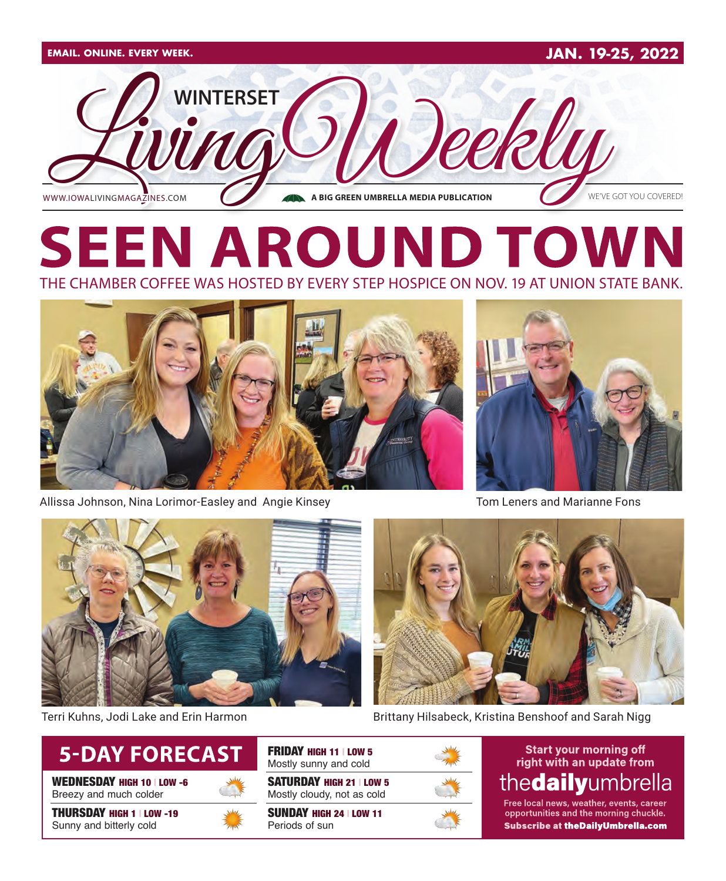

# **SEEN AROUND TOW** THE CHAMBER COFFEE WAS HOSTED BY EVERY STEP HOSPICE ON NOV. 19 AT UNION STATE BANK.



Allissa Johnson, Nina Lorimor-Easley and Angie Kinsey The Commence Tom Leners and Marianne Fons







Terri Kuhns, Jodi Lake and Erin Harmon **Brittany Hilsabeck, Kristina Benshoof and Sarah Nigg** 

# **5-DAY FORECAST**

WEDNESDAY HIGH 10 | LOW -6 Breezy and much colder

THURSDAY HIGH 1 | LOW -19 Sunny and bitterly cold



SATURDAY HIGH 21 | LOW 5 Mostly cloudy, not as cold Mostly sunny and cold

SUNDAY HIGH 24 | LOW 11 Periods of sun

FRIDAY HIGH 11 | LOW 5



**Start your morning off** right with an update from thedailyumbrella

Free local news, weather, events, career opportunities and the morning chuckle. Subscribe at the Daily Umbrella.com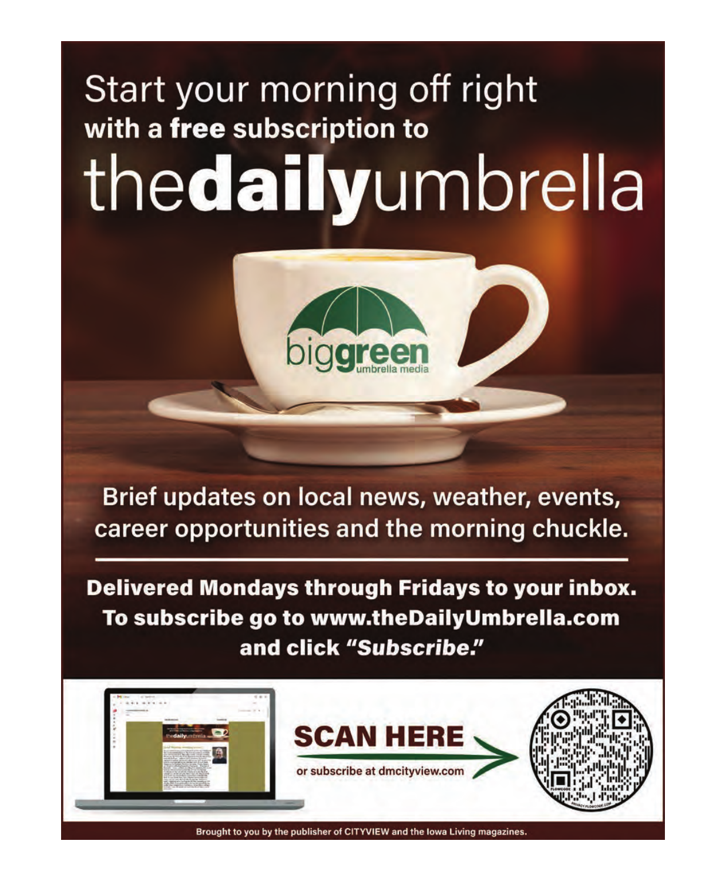# Start your morning off right with a free subscription to thedailyumbrella



Brief updates on local news, weather, events, career opportunities and the morning chuckle.

**Delivered Mondays through Fridays to your inbox.** To subscribe go to www.theDailyUmbrella.com and click "Subscribe."



Brought to you by the publisher of CITYVIEW and the lowa Living magazines.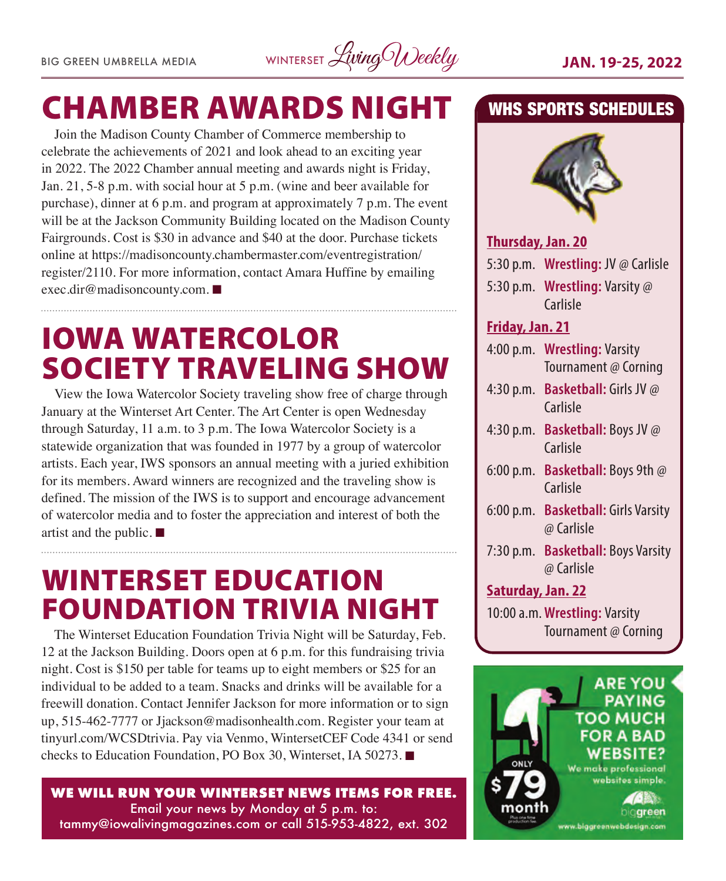

# CHAMBER AWARDS NIGHT

Join the Madison County Chamber of Commerce membership to celebrate the achievements of 2021 and look ahead to an exciting year in 2022. The 2022 Chamber annual meeting and awards night is Friday, Jan. 21, 5-8 p.m. with social hour at 5 p.m. (wine and beer available for purchase), dinner at 6 p.m. and program at approximately 7 p.m. The event will be at the Jackson Community Building located on the Madison County Fairgrounds. Cost is \$30 in advance and \$40 at the door. Purchase tickets online at https://madisoncounty.chambermaster.com/eventregistration/ register/2110. For more information, contact Amara Huffine by emailing exec.dir@madisoncounty.com.

# IOWA WATERCOLOR SOCIETY TRAVELING SHOW

View the Iowa Watercolor Society traveling show free of charge through January at the Winterset Art Center. The Art Center is open Wednesday through Saturday, 11 a.m. to 3 p.m. The Iowa Watercolor Society is a statewide organization that was founded in 1977 by a group of watercolor artists. Each year, IWS sponsors an annual meeting with a juried exhibition for its members. Award winners are recognized and the traveling show is defined. The mission of the IWS is to support and encourage advancement of watercolor media and to foster the appreciation and interest of both the artist and the public.  $\blacksquare$ 

# WINTERSET EDUCATION FOUNDATION TRIVIA NIGHT

The Winterset Education Foundation Trivia Night will be Saturday, Feb. 12 at the Jackson Building. Doors open at 6 p.m. for this fundraising trivia night. Cost is \$150 per table for teams up to eight members or \$25 for an individual to be added to a team. Snacks and drinks will be available for a freewill donation. Contact Jennifer Jackson for more information or to sign up, 515-462-7777 or Jjackson@madisonhealth.com. Register your team at tinyurl.com/WCSDtrivia. Pay via Venmo, WintersetCEF Code 4341 or send checks to Education Foundation, PO Box 30, Winterset, IA 50273. ■

**WE WILL RUN YOUR WINTERSET NEWS ITEMS FOR FREE.** Email your news by Monday at 5 p.m. to: tammy@iowalivingmagazines.com or call 515-953-4822, ext. 302

## WHS SPORTS SCHEDULES



**Thursday, Jan. 20** 5:30 p.m. **Wrestling:** JV @ Carlisle 5:30 p.m. **Wrestling:** Varsity @ Carlisle **Friday, Jan. 21** 4:00 p.m. **Wrestling:** Varsity Tournament @ Corning 4:30 p.m. **Basketball:** Girls JV @ Carlisle 4:30 p.m. **Basketball:** Boys JV @ Carlisle 6:00 p.m. **Basketball:** Boys 9th @ Carlisle 6:00 p.m. **Basketball:** Girls Varsity @ Carlisle 7:30 p.m. **Basketball:** Boys Varsity @ Carlisle **Saturday, Jan. 22**

10:00 a.m.**Wrestling:** Varsity Tournament @ Corning

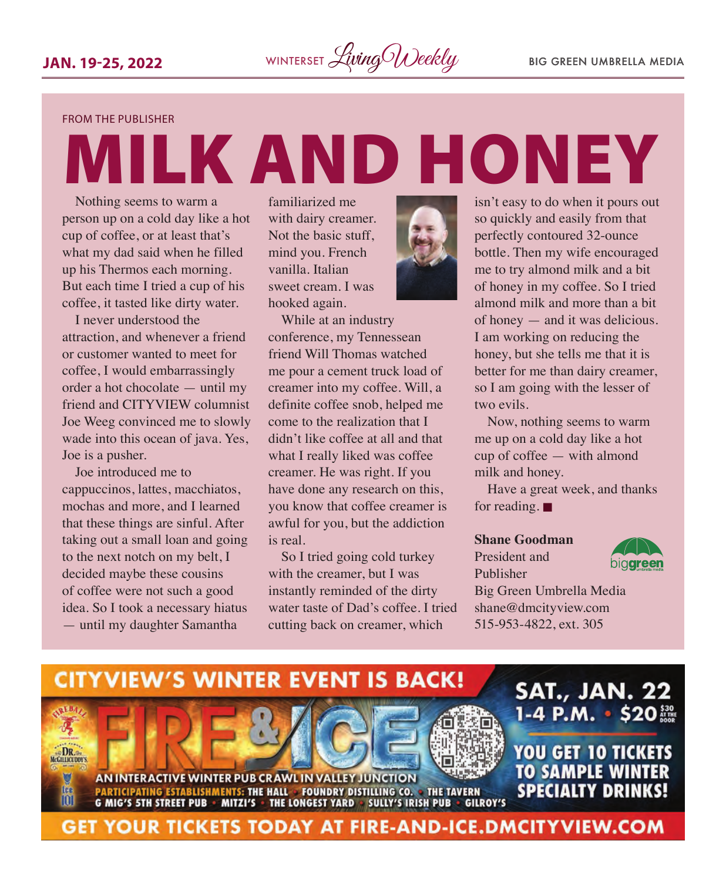FROM THE PUBLISHER

# MILK AND HONEY

Nothing seems to warm a person up on a cold day like a hot cup of coffee, or at least that's what my dad said when he filled up his Thermos each morning. But each time I tried a cup of his coffee, it tasted like dirty water.

I never understood the attraction, and whenever a friend or customer wanted to meet for coffee, I would embarrassingly order a hot chocolate — until my friend and CITYVIEW columnist Joe Weeg convinced me to slowly wade into this ocean of java. Yes, Joe is a pusher.

Joe introduced me to cappuccinos, lattes, macchiatos, mochas and more, and I learned that these things are sinful. After taking out a small loan and going to the next notch on my belt, I decided maybe these cousins of coffee were not such a good idea. So I took a necessary hiatus — until my daughter Samantha

familiarized me with dairy creamer. Not the basic stuff, mind you. French vanilla. Italian sweet cream. I was hooked again.



While at an industry conference, my Tennessean friend Will Thomas watched me pour a cement truck load of creamer into my coffee. Will, a definite coffee snob, helped me come to the realization that I didn't like coffee at all and that what I really liked was coffee creamer. He was right. If you have done any research on this, you know that coffee creamer is awful for you, but the addiction is real.

So I tried going cold turkey with the creamer, but I was instantly reminded of the dirty water taste of Dad's coffee. I tried cutting back on creamer, which

isn't easy to do when it pours out so quickly and easily from that perfectly contoured 32-ounce bottle. Then my wife encouraged me to try almond milk and a bit of honey in my coffee. So I tried almond milk and more than a bit of honey — and it was delicious. I am working on reducing the honey, but she tells me that it is better for me than dairy creamer, so I am going with the lesser of two evils.

Now, nothing seems to warm me up on a cold day like a hot cup of coffee — with almond milk and honey.

Have a great week, and thanks for reading.  $\blacksquare$ 

#### **Shane Goodman**

President and Publisher



Big Green Umbrella Media shane@dmcityview.com 515-953-4822, ext. 305

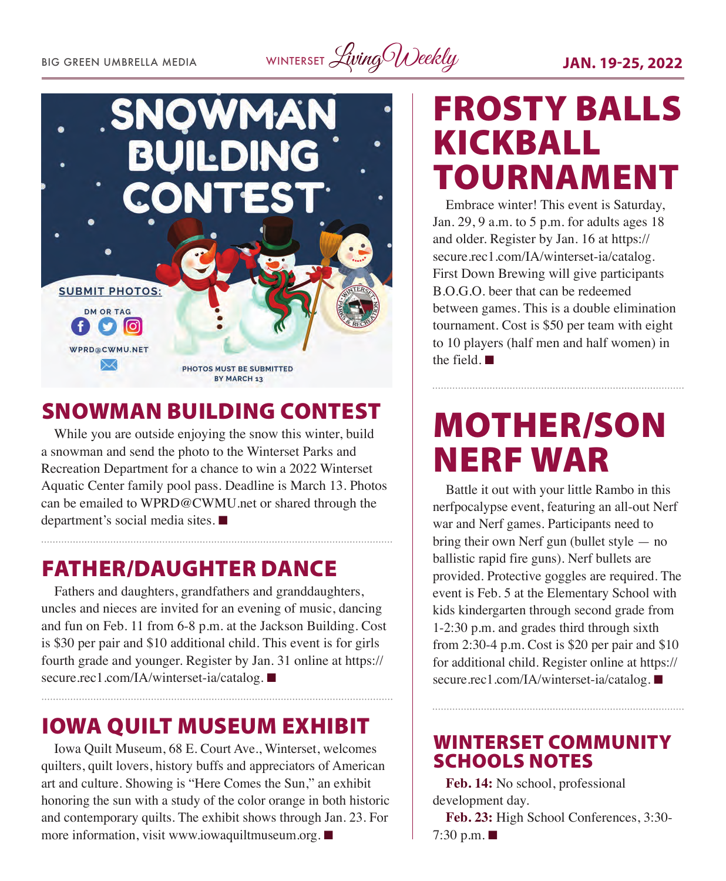BIG GREEN UMBRELLA MEDIA WINTERSET Living Weekly **JAN. 19-25, 2022** 



# SNOWMAN BUILDING CONTEST

While you are outside enjoying the snow this winter, build a snowman and send the photo to the Winterset Parks and Recreation Department for a chance to win a 2022 Winterset Aquatic Center family pool pass. Deadline is March 13. Photos can be emailed to WPRD@CWMU.net or shared through the department's social media sites.  $\blacksquare$ 

## FATHER/DAUGHTER DANCE

Fathers and daughters, grandfathers and granddaughters, uncles and nieces are invited for an evening of music, dancing and fun on Feb. 11 from 6-8 p.m. at the Jackson Building. Cost is \$30 per pair and \$10 additional child. This event is for girls fourth grade and younger. Register by Jan. 31 online at https:// secure.rec1.com/IA/winterset-ia/catalog.

# IOWA QUILT MUSEUM EXHIBIT

Iowa Quilt Museum, 68 E. Court Ave., Winterset, welcomes quilters, quilt lovers, history buffs and appreciators of American art and culture. Showing is "Here Comes the Sun," an exhibit honoring the sun with a study of the color orange in both historic and contemporary quilts. The exhibit shows through Jan. 23. For more information, visit www.iowaquiltmuseum.org.  $\blacksquare$ 

# FROSTY BALLS KICKBALL TOURNAMENT

Embrace winter! This event is Saturday, Jan. 29, 9 a.m. to 5 p.m. for adults ages 18 and older. Register by Jan. 16 at https:// secure.rec1.com/IA/winterset-ia/catalog. First Down Brewing will give participants B.O.G.O. beer that can be redeemed between games. This is a double elimination tournament. Cost is \$50 per team with eight to 10 players (half men and half women) in the field.  $\blacksquare$ 

# MOTHER/SON NERF WAR

Battle it out with your little Rambo in this nerfpocalypse event, featuring an all-out Nerf war and Nerf games. Participants need to bring their own Nerf gun (bullet style — no ballistic rapid fire guns). Nerf bullets are provided. Protective goggles are required. The event is Feb. 5 at the Elementary School with kids kindergarten through second grade from 1-2:30 p.m. and grades third through sixth from 2:30-4 p.m. Cost is \$20 per pair and \$10 for additional child. Register online at https:// secure.rec1.com/IA/winterset-ia/catalog.

## WINTERSET COMMUNITY SCHOOLS NOTES

**Feb. 14:** No school, professional development day.

**Feb. 23:** High School Conferences, 3:30- 7:30 p.m.  $\blacksquare$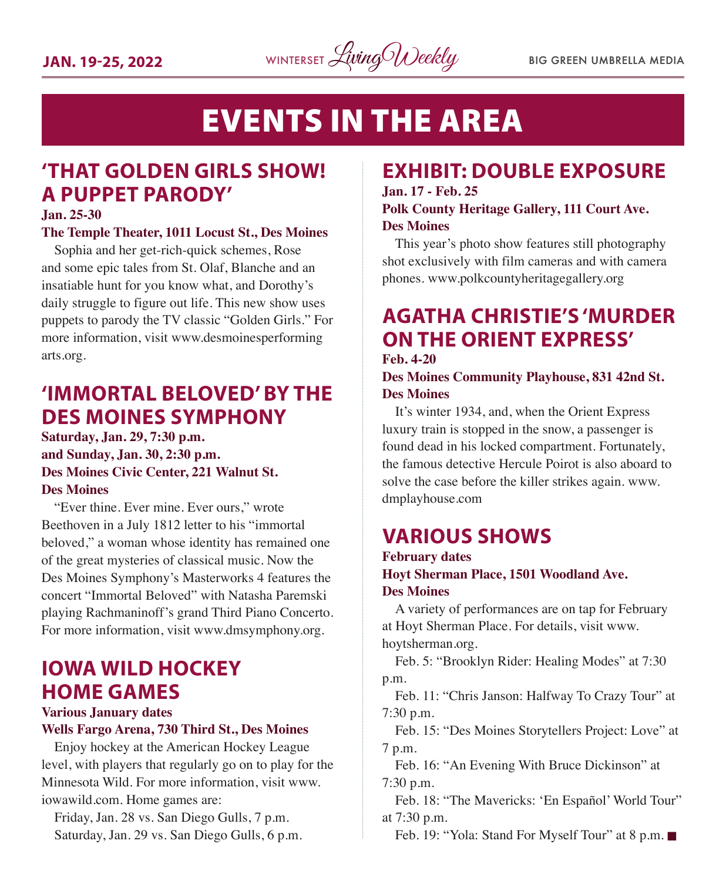

# EVENTS IN THE AREA

## **'THAT GOLDEN GIRLS SHOW! A PUPPET PARODY'**

#### **Jan. 25-30**

#### **The Temple Theater, 1011 Locust St., Des Moines**

Sophia and her get-rich-quick schemes, Rose and some epic tales from St. Olaf, Blanche and an insatiable hunt for you know what, and Dorothy's daily struggle to figure out life. This new show uses puppets to parody the TV classic "Golden Girls." For more information, visit www.desmoinesperforming arts.org.

## **'IMMORTAL BELOVED' BY THE DES MOINES SYMPHONY**

**Saturday, Jan. 29, 7:30 p.m. and Sunday, Jan. 30, 2:30 p.m. Des Moines Civic Center, 221 Walnut St. Des Moines**

"Ever thine. Ever mine. Ever ours," wrote Beethoven in a July 1812 letter to his "immortal beloved," a woman whose identity has remained one of the great mysteries of classical music. Now the Des Moines Symphony's Masterworks 4 features the concert "Immortal Beloved" with Natasha Paremski playing Rachmaninoff's grand Third Piano Concerto. For more information, visit www.dmsymphony.org.

## **IOWA WILD HOCKEY HOME GAMES**

**Various January dates**

#### **Wells Fargo Arena, 730 Third St., Des Moines**

Enjoy hockey at the American Hockey League level, with players that regularly go on to play for the Minnesota Wild. For more information, visit www. iowawild.com. Home games are:

Friday, Jan. 28 vs. San Diego Gulls, 7 p.m. Saturday, Jan. 29 vs. San Diego Gulls, 6 p.m.

#### **EXHIBIT: DOUBLE EXPOSURE Jan. 17 - Feb. 25**

## **Polk County Heritage Gallery, 111 Court Ave. Des Moines**

This year's photo show features still photography shot exclusively with film cameras and with camera phones. www.polkcountyheritagegallery.org

# **AGATHA CHRISTIE'S 'MURDER ON THE ORIENT EXPRESS'**

**Feb. 4-20**

**Des Moines Community Playhouse, 831 42nd St. Des Moines**

It's winter 1934, and, when the Orient Express luxury train is stopped in the snow, a passenger is found dead in his locked compartment. Fortunately, the famous detective Hercule Poirot is also aboard to solve the case before the killer strikes again. www. dmplayhouse.com

## **VARIOUS SHOWS**

#### **February dates Hoyt Sherman Place, 1501 Woodland Ave. Des Moines**

A variety of performances are on tap for February at Hoyt Sherman Place. For details, visit www. hoytsherman.org.

Feb. 5: "Brooklyn Rider: Healing Modes" at 7:30 p.m.

Feb. 11: "Chris Janson: Halfway To Crazy Tour" at 7:30 p.m.

Feb. 15: "Des Moines Storytellers Project: Love" at 7 p.m.

Feb. 16: "An Evening With Bruce Dickinson" at 7:30 p.m.

Feb. 18: "The Mavericks: 'En Español' World Tour" at 7:30 p.m.

Feb. 19: "Yola: Stand For Myself Tour" at 8 p.m.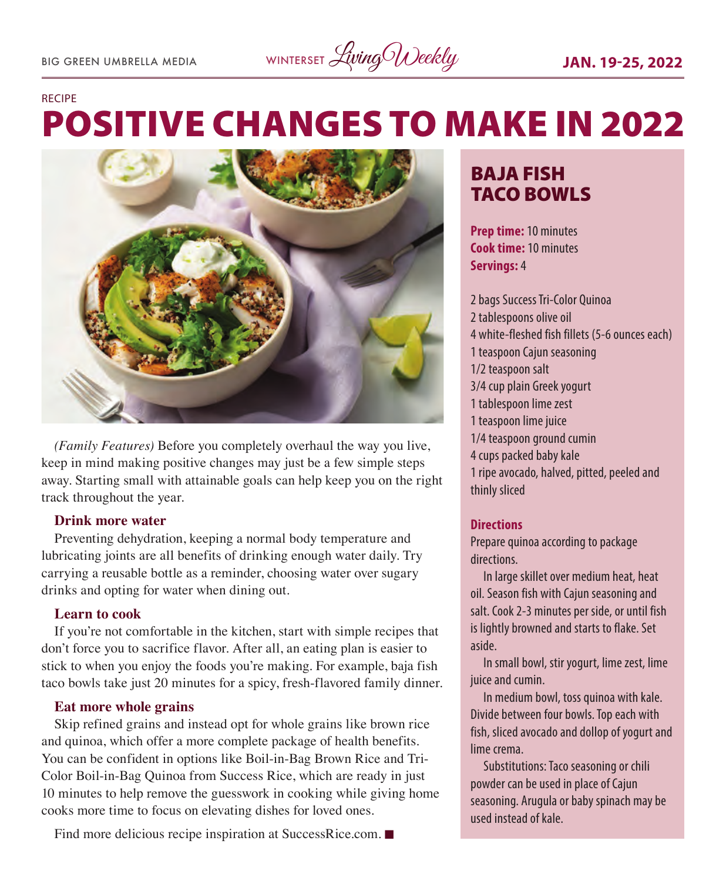#### RECIPE

# POSITIVE CHANGES TO MAKE IN 2022



*(Family Features)* Before you completely overhaul the way you live, keep in mind making positive changes may just be a few simple steps away. Starting small with attainable goals can help keep you on the right track throughout the year.

#### **Drink more water**

Preventing dehydration, keeping a normal body temperature and lubricating joints are all benefits of drinking enough water daily. Try carrying a reusable bottle as a reminder, choosing water over sugary drinks and opting for water when dining out.

#### **Learn to cook**

If you're not comfortable in the kitchen, start with simple recipes that don't force you to sacrifice flavor. After all, an eating plan is easier to stick to when you enjoy the foods you're making. For example, baja fish taco bowls take just 20 minutes for a spicy, fresh-flavored family dinner.

#### **Eat more whole grains**

Skip refined grains and instead opt for whole grains like brown rice and quinoa, which offer a more complete package of health benefits. You can be confident in options like Boil-in-Bag Brown Rice and Tri-Color Boil-in-Bag Quinoa from Success Rice, which are ready in just 10 minutes to help remove the guesswork in cooking while giving home cooks more time to focus on elevating dishes for loved ones.

#### Find more delicious recipe inspiration at SuccessRice.com.  $\blacksquare$

## BAJA FISH TACO BOWLS

**Prep time:** 10 minutes **Cook time:** 10 minutes **Servings:** 4

2 bags Success Tri-Color Quinoa 2 tablespoons olive oil 4 white-fleshed fish fillets (5-6 ounces each) 1 teaspoon Cajun seasoning 1/2 teaspoon salt 3/4 cup plain Greek yogurt 1 tablespoon lime zest 1 teaspoon lime juice 1/4 teaspoon ground cumin 4 cups packed baby kale 1 ripe avocado, halved, pitted, peeled and thinly sliced

#### **Directions**

Prepare quinoa according to package directions.

In large skillet over medium heat, heat oil. Season fish with Cajun seasoning and salt. Cook 2-3 minutes per side, or until fish is lightly browned and starts to flake. Set aside.

In small bowl, stir yogurt, lime zest, lime juice and cumin.

In medium bowl, toss quinoa with kale. Divide between four bowls. Top each with fish, sliced avocado and dollop of yogurt and lime crema.

Substitutions: Taco seasoning or chili powder can be used in place of Cajun seasoning. Arugula or baby spinach may be used instead of kale.